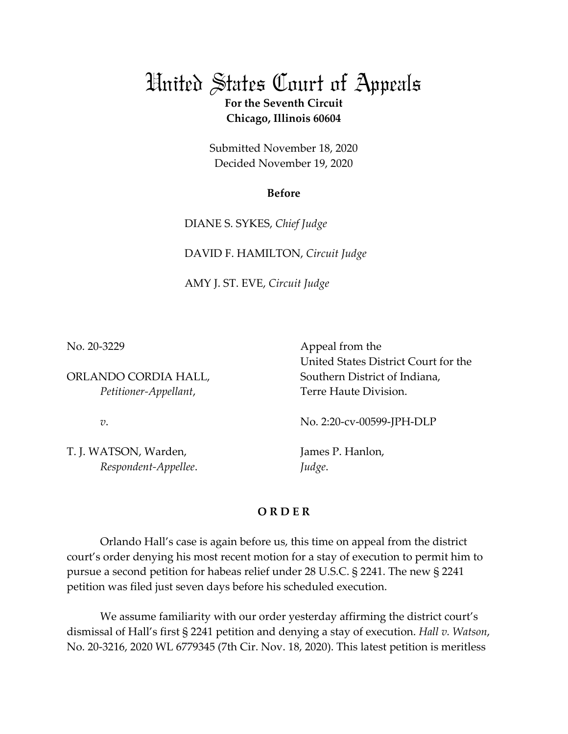## United States Court of Appeals **For the Seventh Circuit Chicago, Illinois 60604**

Submitted November 18, 2020 Decided November 19, 2020

## **Before**

DIANE S. SYKES, *Chief Judge* 

DAVID F. HAMILTON, *Circuit Judge* 

AMY J. ST. EVE, *Circuit Judge*

No. 20-3229

ORLANDO CORDIA HALL, *Petitioner-Appellant*,

 Appeal from the United States District Court for the Southern District of Indiana, Terre Haute Division.

*v*.

T. J. WATSON, Warden,  *Respondent-Appellee*. No. 2:20-cv-00599-JPH-DLP

James P. Hanlon, *Judge*.

## **O R D E R**

 Orlando Hall's case is again before us, this time on appeal from the district court's order denying his most recent motion for a stay of execution to permit him to pursue a second petition for habeas relief under 28 U.S.C. § 2241. The new § 2241 petition was filed just seven days before his scheduled execution.

 We assume familiarity with our order yesterday affirming the district court's dismissal of Hall's first § 2241 petition and denying a stay of execution. *Hall v. Watson*, No. 20-3216, 2020 WL 6779345 (7th Cir. Nov. 18, 2020). This latest petition is meritless